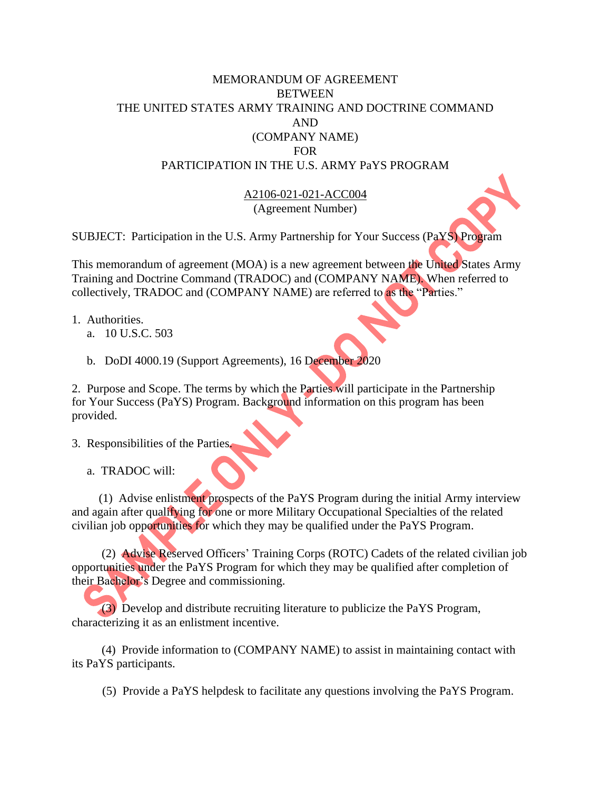## MEMORANDUM OF AGREEMENT **BETWEEN** THE UNITED STATES ARMY TRAINING AND DOCTRINE COMMAND AND (COMPANY NAME) FOR PARTICIPATION IN THE U.S. ARMY PaYS PROGRAM

A2106-021-021-ACC004 (Agreement Number)

SUBJECT: Participation in the U.S. Army Partnership for Your Success (PaYS) Program

This memorandum of agreement (MOA) is a new agreement between the United States Army Training and Doctrine Command (TRADOC) and (COMPANY NAME). When referred to collectively, TRADOC and (COMPANY NAME) are referred to as the "Parties."

- 1. Authorities.
	- a. 10 U.S.C. 503
	- b. DoDI 4000.19 (Support Agreements), 16 December 2020

2. Purpose and Scope. The terms by which the Parties will participate in the Partnership for Your Success (PaYS) Program. Background information on this program has been provided.

- 3. Responsibilities of the Parties.
	- a. TRADOC will:

 (1) Advise enlistment prospects of the PaYS Program during the initial Army interview and again after qualifying for one or more Military Occupational Specialties of the related civilian job opportunities for which they may be qualified under the PaYS Program.

 (2) Advise Reserved Officers' Training Corps (ROTC) Cadets of the related civilian job opportunities under the PaYS Program for which they may be qualified after completion of their Bachelor's Degree and commissioning.

 (3) Develop and distribute recruiting literature to publicize the PaYS Program, characterizing it as an enlistment incentive.

 (4) Provide information to (COMPANY NAME) to assist in maintaining contact with its PaYS participants.

(5) Provide a PaYS helpdesk to facilitate any questions involving the PaYS Program.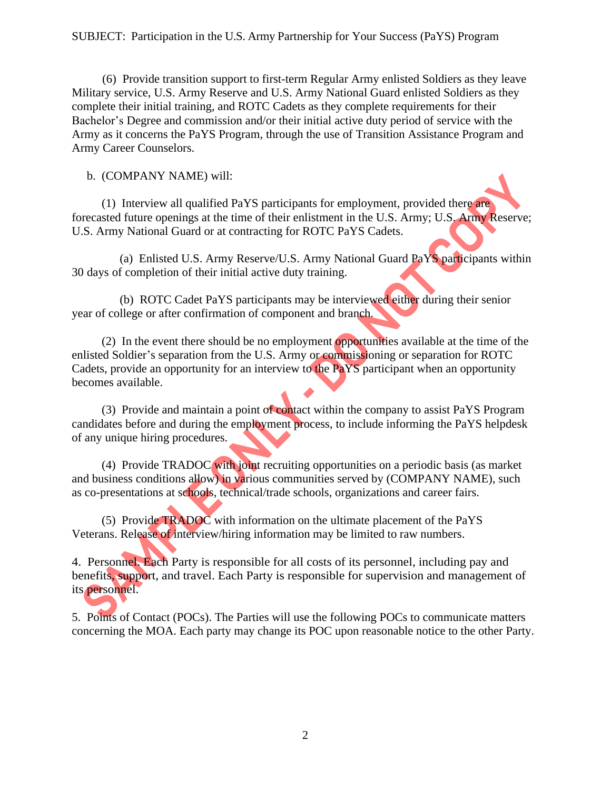(6) Provide transition support to first-term Regular Army enlisted Soldiers as they leave Military service, U.S. Army Reserve and U.S. Army National Guard enlisted Soldiers as they complete their initial training, and ROTC Cadets as they complete requirements for their Bachelor's Degree and commission and/or their initial active duty period of service with the Army as it concerns the PaYS Program, through the use of Transition Assistance Program and Army Career Counselors.

b. (COMPANY NAME) will:

 (1) Interview all qualified PaYS participants for employment, provided there are forecasted future openings at the time of their enlistment in the U.S. Army; U.S. Army Reserve; U.S. Army National Guard or at contracting for ROTC PaYS Cadets.

 (a) Enlisted U.S. Army Reserve/U.S. Army National Guard PaYS participants within 30 days of completion of their initial active duty training.

 (b) ROTC Cadet PaYS participants may be interviewed either during their senior year of college or after confirmation of component and branch.

 (2) In the event there should be no employment opportunities available at the time of the enlisted Soldier's separation from the U.S. Army or commissioning or separation for ROTC Cadets, provide an opportunity for an interview to the PaYS participant when an opportunity becomes available.

 (3) Provide and maintain a point of contact within the company to assist PaYS Program candidates before and during the employment process, to include informing the PaYS helpdesk of any unique hiring procedures.

 (4) Provide TRADOC with joint recruiting opportunities on a periodic basis (as market and business conditions allow) in various communities served by (COMPANY NAME), such as co-presentations at schools, technical/trade schools, organizations and career fairs.

 (5) Provide TRADOC with information on the ultimate placement of the PaYS Veterans. Release of interview/hiring information may be limited to raw numbers.

4. Personnel. Each Party is responsible for all costs of its personnel, including pay and benefits, support, and travel. Each Party is responsible for supervision and management of its personnel.

5. Points of Contact (POCs). The Parties will use the following POCs to communicate matters concerning the MOA. Each party may change its POC upon reasonable notice to the other Party.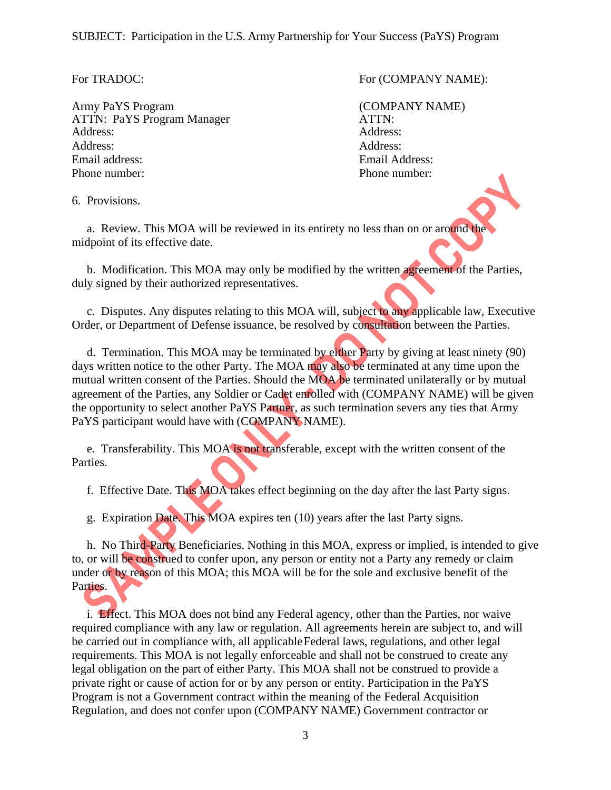Army PaYS Program (COMPANY NAME) ATTN: PaYS Program Manager ATTN: Address: Address: Address: Address: Email address: Email Address: Phone number: Phone number:

For TRADOC: For (COMPANY NAME):

6. Provisions.

 a. Review. This MOA will be reviewed in its entirety no less than on or around the midpoint of its effective date.

 b. Modification. This MOA may only be modified by the written agreement of the Parties, duly signed by their authorized representatives.

 c. Disputes. Any disputes relating to this MOA will, subject to any applicable law, Executive Order, or Department of Defense issuance, be resolved by consultation between the Parties.

 d. Termination. This MOA may be terminated by either Party by giving at least ninety (90) days written notice to the other Party. The MOA may also be terminated at any time upon the mutual written consent of the Parties. Should the MOA be terminated unilaterally or by mutual agreement of the Parties, any Soldier or Cadet enrolled with (COMPANY NAME) will be given the opportunity to select another PaYS Partner, as such termination severs any ties that Army PaYS participant would have with (COMPANY NAME).

 e. Transferability. This MOA is not transferable, except with the written consent of the Parties.

f. Effective Date. This MOA takes effect beginning on the day after the last Party signs.

g. Expiration Date. This MOA expires ten (10) years after the last Party signs.

 h. No Third-Party Beneficiaries. Nothing in this MOA, express or implied, is intended to give to, or will be construed to confer upon, any person or entity not a Party any remedy or claim under or by reason of this MOA; this MOA will be for the sole and exclusive benefit of the Parties.

 i. Effect. This MOA does not bind any Federal agency, other than the Parties, nor waive required compliance with any law or regulation. All agreements herein are subject to, and will be carried out in compliance with, all applicable Federal laws, regulations, and other legal requirements. This MOA is not legally enforceable and shall not be construed to create any legal obligation on the part of either Party. This MOA shall not be construed to provide a private right or cause of action for or by any person or entity. Participation in the PaYS Program is not a Government contract within the meaning of the Federal Acquisition Regulation, and does not confer upon (COMPANY NAME) Government contractor or